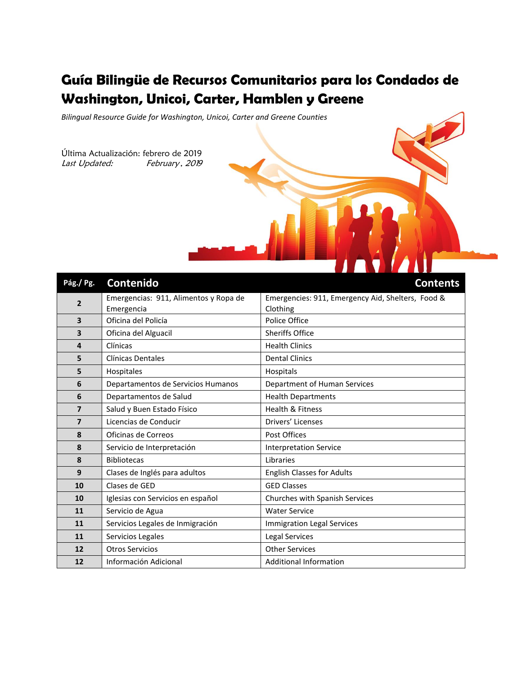# **Guía Bilingüe de Recursos Comunitarios para los Condados de Washington, Unicoi, Carter, Hamblen y Greene**

*Bilingual Resource Guide for Washington, Unicoi, Carter and Greene Counties*

Última Actualización: febrero de 2019 Last Updated: February, 2019

| Pág./Pg.                | Contenido                             | <b>Contents</b>                                   |
|-------------------------|---------------------------------------|---------------------------------------------------|
| $\overline{2}$          | Emergencias: 911, Alimentos y Ropa de | Emergencies: 911, Emergency Aid, Shelters, Food & |
|                         | Emergencia                            | Clothing                                          |
| $\overline{\mathbf{3}}$ | Oficina del Policía                   | Police Office                                     |
| 3                       | Oficina del Alguacil                  | <b>Sheriffs Office</b>                            |
| 4                       | Clínicas                              | <b>Health Clinics</b>                             |
| 5                       | <b>Clínicas Dentales</b>              | <b>Dental Clinics</b>                             |
| 5                       | Hospitales                            | Hospitals                                         |
| 6                       | Departamentos de Servicios Humanos    | Department of Human Services                      |
| 6                       | Departamentos de Salud                | <b>Health Departments</b>                         |
| $\overline{7}$          | Salud y Buen Estado Físico            | <b>Health &amp; Fitness</b>                       |
| $\overline{7}$          | Licencias de Conducir                 | Drivers' Licenses                                 |
| 8                       | Oficinas de Correos                   | Post Offices                                      |
| 8                       | Servicio de Interpretación            | <b>Interpretation Service</b>                     |
| 8                       | <b>Bibliotecas</b>                    | Libraries                                         |
| 9                       | Clases de Inglés para adultos         | <b>English Classes for Adults</b>                 |
| 10                      | Clases de GED                         | <b>GED Classes</b>                                |
| 10                      | Iglesias con Servicios en español     | Churches with Spanish Services                    |
| 11                      | Servicio de Agua                      | <b>Water Service</b>                              |
| 11                      | Servicios Legales de Inmigración      | <b>Immigration Legal Services</b>                 |
| 11                      | Servicios Legales                     | <b>Legal Services</b>                             |
| 12                      | <b>Otros Servicios</b>                | <b>Other Services</b>                             |
| 12                      | Información Adicional                 | <b>Additional Information</b>                     |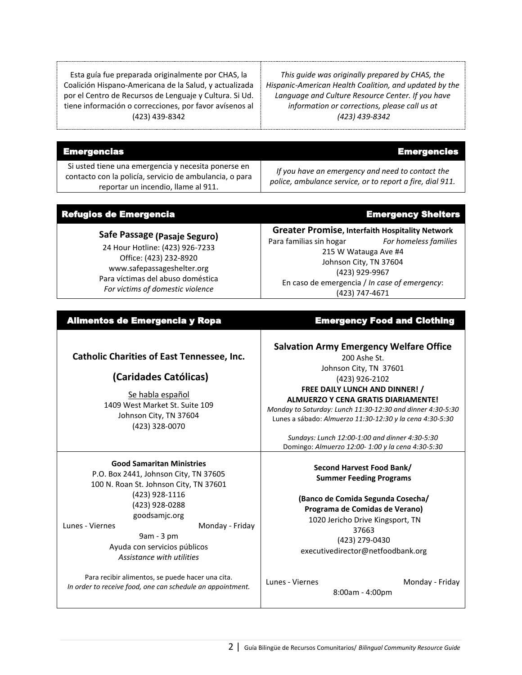Esta guía fue preparada originalmente por CHAS, la Coalición Hispano-Americana de la Salud, y actualizada por el Centro de Recursos de Lenguaje y Cultura. Si Ud. tiene información o correcciones, por favor avísenos al (423) 439-8342

*This guide was originally prepared by CHAS, the Hispanic-American Health Coalition, and updated by the Language and Culture Resource Center. If you have information or corrections, please call us at (423) 439-8342*

| <b>Emergencias</b>                                                                                                                                    | <b>Emergencies</b>                                                                                            |
|-------------------------------------------------------------------------------------------------------------------------------------------------------|---------------------------------------------------------------------------------------------------------------|
| Si usted tiene una emergencia y necesita ponerse en<br>contacto con la policía, servicio de ambulancia, o para<br>reportar un incendio, llame al 911. | If you have an emergency and need to contact the<br>police, ambulance service, or to report a fire, dial 911. |

#### Refugios de Emergencia **Emergencia** en Emergency Shelters **Safe Passage (Pasaje Seguro)** 24 Hour Hotline: (423) 926-7233 Office: (423) 232-8920 www.safepassageshelter.org Para víctimas del abuso doméstica *For victims of domestic violence* **Greater Promise, Interfaith Hospitality Network** Para familias sin hogar *For homeless families* 215 W Watauga Ave #4 Johnson City, TN 37604 (423) 929-9967 En caso de emergencia / *In case of emergency*: (423) 747-4671

# Alimentos de Emergencia y Ropa **Emergency Food and Clothing**

## **Catholic Charities of East Tennessee, Inc.**

# **(Caridades Católicas)**

Se habla español 1409 West Market St. Suite 109 Johnson City, TN 37604 (423) 328-0070

#### **Good Samaritan Ministries**

P.O. Box 2441, Johnson City, TN 37605 100 N. Roan St. Johnson City, TN 37601 (423) 928-1116 (423) 928-0288 goodsamjc.org Lunes - Viernes **Monday** - Friday

9am - 3 pm

Ayuda con servicios públicos *Assistance with utilities*

Para recibir alimentos, se puede hacer una cita. *In order to receive food, one can schedule an appointment.*

## **Salvation Army Emergency Welfare Office**

200 Ashe St. Johnson City, TN 37601 (423) 926-2102

# **FREE DAILY LUNCH AND DINNER! /**

### **ALMUERZO Y CENA GRATIS DIARIAMENTE!**

*Monday to Saturday: Lunch 11:30-12:30 and dinner 4:30-5:30* Lunes a sábado: *Almuerzo 11:30-12:30 y la cena 4:30-5:30*

*Sundays: Lunch 12:00-1:00 and dinner 4:30-5:30* Domingo: *Almuerzo 12:00- 1:00 y la cena 4:30-5:30*

#### **Second Harvest Food Bank/ Summer Feeding Programs**

**(Banco de Comida Segunda Cosecha/ Programa de Comidas de Verano)**  1020 Jericho Drive Kingsport, TN 37663 (423) 279-0430 executivedirector@netfoodbank.org

Lunes - Viernes Monday - Friday

8:00am - 4:00pm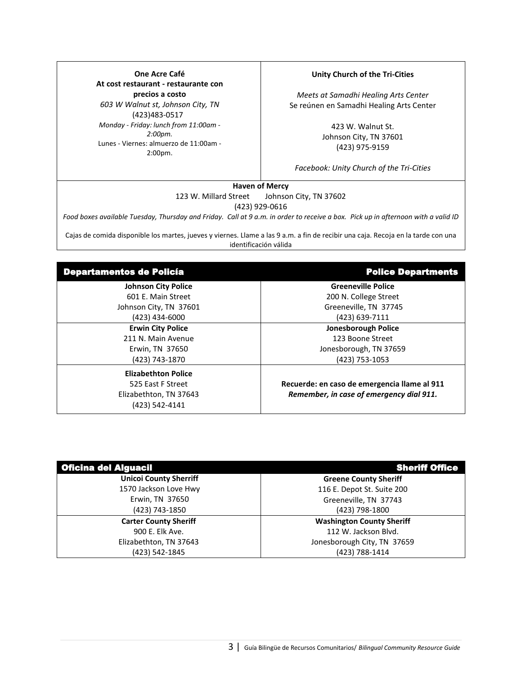**One Acre Café At cost restaurant - restaurante con precios a costo** *603 W Walnut st, Johnson City, TN* (423)483-0517 *Monday - Friday: lunch from 11:00am - 2:00pm.*  Lunes - Viernes: almuerzo de 11:00am - 2:00pm.

#### **Unity Church of the Tri-Cities**

*Meets at Samadhi Healing Arts Center* Se reúnen en Samadhi Healing Arts Center

> 423 W. Walnut St. Johnson City, TN 37601 (423) 975-9159

*Facebook: Unity Church of the Tri-Cities*

#### **Haven of Mercy**

123 W. Millard Street Johnson City, TN 37602 (423) 929-0616

*Food boxes available Tuesday, Thursday and Friday. Call at 9 a.m. in order to receive a box. Pick up in afternoon with a valid ID*

Cajas de comida disponible los martes, jueves y viernes. Llame a las 9 a.m. a fin de recibir una caja. Recoja en la tarde con una identificación válida

| <b>Departamentos de Policía</b> | <b>Police Departments</b>                    |
|---------------------------------|----------------------------------------------|
| <b>Johnson City Police</b>      | <b>Greeneville Police</b>                    |
| 601 E. Main Street              | 200 N. College Street                        |
| Johnson City, TN 37601          | Greeneville, TN 37745                        |
| (423) 434-6000                  | (423) 639-7111                               |
| <b>Erwin City Police</b>        | <b>Jonesborough Police</b>                   |
| 211 N. Main Avenue              | 123 Boone Street                             |
| Erwin, TN 37650                 | Jonesborough, TN 37659                       |
| (423) 743-1870                  | (423) 753-1053                               |
| <b>Elizabethton Police</b>      |                                              |
| 525 East F Street               | Recuerde: en caso de emergencia llame al 911 |
| Elizabethton, TN 37643          | Remember, in case of emergency dial 911.     |
| (423) 542-4141                  |                                              |

| <b>Oficina del Alguacil</b>   | <b>Sheriff Office</b>            |
|-------------------------------|----------------------------------|
| <b>Unicoi County Sherriff</b> | <b>Greene County Sheriff</b>     |
| 1570 Jackson Love Hwy         | 116 E. Depot St. Suite 200       |
| Erwin, TN 37650               | Greeneville, TN 37743            |
| (423) 743-1850                | (423) 798-1800                   |
| <b>Carter County Sheriff</b>  | <b>Washington County Sheriff</b> |
| 900 E. Elk Ave.               | 112 W. Jackson Blvd.             |
| Elizabethton, TN 37643        | Jonesborough City, TN 37659      |
| (423) 542-1845                | (423) 788-1414                   |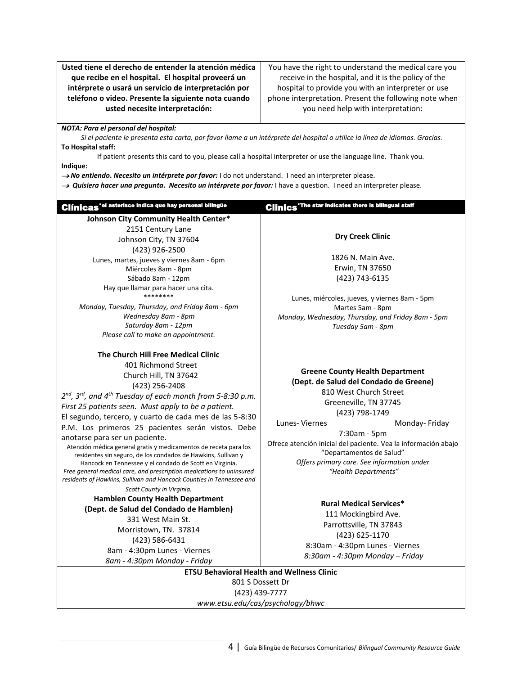**Usted tiene el derecho de entender la atención médica que recibe en el hospital. El hospital proveerá un intérprete o usará un servicio de interpretación por teléfono o video. Presente la siguiente nota cuando usted necesite interpretación:**

You have the right to understand the medical care you receive in the hospital, and it is the policy of the hospital to provide you with an interpreter or use phone interpretation. Present the following note when you need help with interpretation:

*NOTA: Para el personal del hospital:*

*Si el paciente le presenta esta carta, por favor llame a un intérprete del hospital o utilice la línea de idiomas. Gracias.* **To Hospital staff:** 

If patient presents this card to you, please call a hospital interpreter or use the language line. Thank you. **Indique:**

*No entiendo***.** *Necesito un intérprete por favor:* I do not understand. I need an interpreter please.

 *Quisiera hacer una pregunta***.** *Necesito un intérprete por favor:* I have a question. I need an interpreter please.

| <b>Clínicas<sup>*el</sup> asterisco indica que hay personal bilingüe</b>                                                                                                                                                                                                                                                                                                                                                                                                                                                                                                                                                                                                                                                                                                                      | <b>Clinics</b> The star Indicates there is bilingual staff                                                                                                                                                                                                                                                                                                                  |
|-----------------------------------------------------------------------------------------------------------------------------------------------------------------------------------------------------------------------------------------------------------------------------------------------------------------------------------------------------------------------------------------------------------------------------------------------------------------------------------------------------------------------------------------------------------------------------------------------------------------------------------------------------------------------------------------------------------------------------------------------------------------------------------------------|-----------------------------------------------------------------------------------------------------------------------------------------------------------------------------------------------------------------------------------------------------------------------------------------------------------------------------------------------------------------------------|
| Johnson City Community Health Center*<br>2151 Century Lane<br>Johnson City, TN 37604<br>(423) 926-2500<br>Lunes, martes, jueves y viernes 8am - 6pm<br>Miércoles 8am - 8pm<br>Sábado 8am - 12pm<br>Hay que llamar para hacer una cita.<br>********<br>Monday, Tuesday, Thursday, and Friday 8am - 6pm<br>Wednesday 8am - 8pm<br>Saturday 8am - 12pm<br>Please call to make an appointment.                                                                                                                                                                                                                                                                                                                                                                                                    | <b>Dry Creek Clinic</b><br>1826 N. Main Ave.<br>Erwin, TN 37650<br>(423) 743-6135<br>Lunes, miércoles, jueves, y viernes 8am - 5pm<br>Martes 5am - 8pm<br>Monday, Wednesday, Thursday, and Friday 8am - 5pm<br>Tuesday 5am - 8pm                                                                                                                                            |
| The Church Hill Free Medical Clinic<br>401 Richmond Street<br>Church Hill, TN 37642<br>(423) 256-2408<br>2 <sup>nd</sup> , 3 <sup>rd</sup> , and 4 <sup>th</sup> Tuesday of each month from 5-8:30 p.m.<br>First 25 patients seen. Must apply to be a patient.<br>El segundo, tercero, y cuarto de cada mes de las 5-8:30<br>P.M. Los primeros 25 pacientes serán vistos. Debe<br>anotarse para ser un paciente.<br>Atención médica general gratis y medicamentos de receta para los<br>residentes sin seguro, de los condados de Hawkins, Sullivan y<br>Hancock en Tennessee y el condado de Scott en Virginia.<br>Free general medical care, and prescription medications to uninsured<br>residents of Hawkins, Sullivan and Hancock Counties in Tennessee and<br>Scott County in Virginia. | <b>Greene County Health Department</b><br>(Dept. de Salud del Condado de Greene)<br>810 West Church Street<br>Greeneville, TN 37745<br>(423) 798-1749<br>Lunes-Viernes<br>Monday-Friday<br>7:30am - 5pm<br>Ofrece atención inicial del paciente. Vea la información abajo<br>"Departamentos de Salud"<br>Offers primary care. See information under<br>"Health Departments" |
| <b>Hamblen County Health Department</b><br>(Dept. de Salud del Condado de Hamblen)<br>331 West Main St.<br>Morristown, TN. 37814<br>(423) 586-6431<br>8am - 4:30pm Lunes - Viernes<br>8am - 4:30pm Monday - Friday                                                                                                                                                                                                                                                                                                                                                                                                                                                                                                                                                                            | <b>Rural Medical Services*</b><br>111 Mockingbird Ave.<br>Parrottsville, TN 37843<br>(423) 625-1170<br>8:30am - 4:30pm Lunes - Viernes<br>8:30am - 4:30pm Monday - Friday<br><b>ETSU Behavioral Health and Wellness Clinic</b>                                                                                                                                              |
| (423) 439-7777                                                                                                                                                                                                                                                                                                                                                                                                                                                                                                                                                                                                                                                                                                                                                                                | 801 S Dossett Dr<br>www.etsu.edu/cas/psychology/bhwc                                                                                                                                                                                                                                                                                                                        |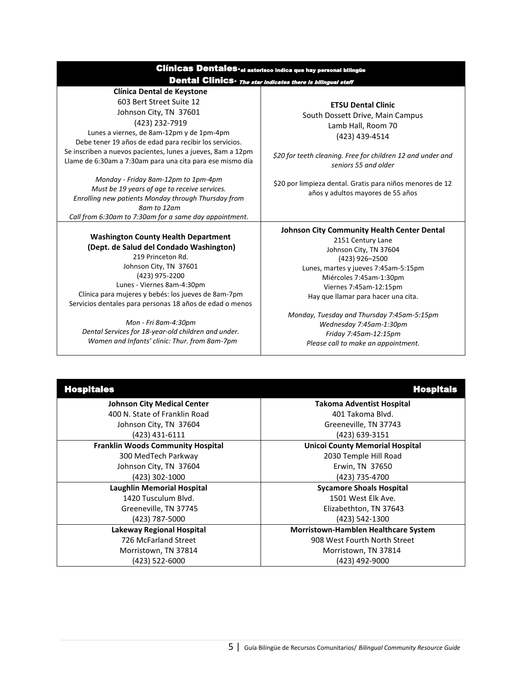| <b>Clínicas Dentales</b> • el asterisco indica que hay personal bilingüe |                                                            |  |  |
|--------------------------------------------------------------------------|------------------------------------------------------------|--|--|
|                                                                          | Dental Clinics The star Indicates there is bilingual staff |  |  |

#### **Clínica Dental de Keystone** 603 Bert Street Suite 12 Johnson City, TN 37601

(423) 232-7919 Lunes a viernes, de 8am-12pm y de 1pm-4pm Debe tener 19 años de edad para recibir los servicios. Se inscriben a nuevos pacientes, lunes a jueves, 8am a 12pm

Llame de 6:30am a 7:30am para una cita para ese mismo día

*Monday - Friday 8am-12pm to 1pm-4pm Must be 19 years of age to receive services. Enrolling new patients Monday through Thursday from 8am to 12am Call from 6:30am to 7:30am for a same day appointment*.

# **Washington County Health Department**

**(Dept. de Salud del Condado Washington)**  219 Princeton Rd. Johnson City, TN 37601 (423) 975-2200 Lunes - Viernes 8am-4:30pm Clínica para mujeres y bebés: los jueves de 8am-7pm Servicios dentales para personas 18 años de edad o menos

*Mon - Fri 8am-4:30pm Dental Services for 18-year-old children and under. Women and Infants' clinic: Thur. from 8am-7pm*

**ETSU Dental Clinic** South Dossett Drive, Main Campus Lamb Hall, Room 70 (423) 439-4514

*\$20 for teeth cleaning. Free for children 12 and under and seniors 55 and older*

\$20 por limpieza dental. Gratis para niños menores de 12 años y adultos mayores de 55 años

#### **Johnson City Community Health Center Dental**

2151 Century Lane Johnson City, TN 37604 (423) 926–2500 Lunes, martes y jueves 7:45am-5:15pm Miércoles 7:45am-1:30pm Viernes 7:45am-12:15pm Hay que llamar para hacer una cita.

*Monday, Tuesday and Thursday 7:45am-5:15pm Wednesday 7:45am-1:30pm Friday 7:45am-12:15pm Please call to make an appointment.* 

| <b>Hospitales</b>                        | <b>Hospitals</b>                            |
|------------------------------------------|---------------------------------------------|
| <b>Johnson City Medical Center</b>       | <b>Takoma Adventist Hospital</b>            |
| 400 N. State of Franklin Road            | 401 Takoma Blvd.                            |
| Johnson City, TN 37604                   | Greeneville, TN 37743                       |
| (423) 431-6111                           | (423) 639-3151                              |
| <b>Franklin Woods Community Hospital</b> | <b>Unicoi County Memorial Hospital</b>      |
| 300 MedTech Parkway                      | 2030 Temple Hill Road                       |
| Johnson City, TN 37604                   | Erwin, TN 37650                             |
| (423) 302-1000                           | (423) 735-4700                              |
| <b>Laughlin Memorial Hospital</b>        | <b>Sycamore Shoals Hospital</b>             |
| 1420 Tusculum Blvd.                      | 1501 West Elk Ave.                          |
| Greeneville, TN 37745                    | Elizabethton, TN 37643                      |
| (423) 787-5000                           | (423) 542-1300                              |
| Lakeway Regional Hospital                | <b>Morristown-Hamblen Healthcare System</b> |
| 726 McFarland Street                     | 908 West Fourth North Street                |
| Morristown, TN 37814                     | Morristown, TN 37814                        |
| (423) 522-6000                           | (423) 492-9000                              |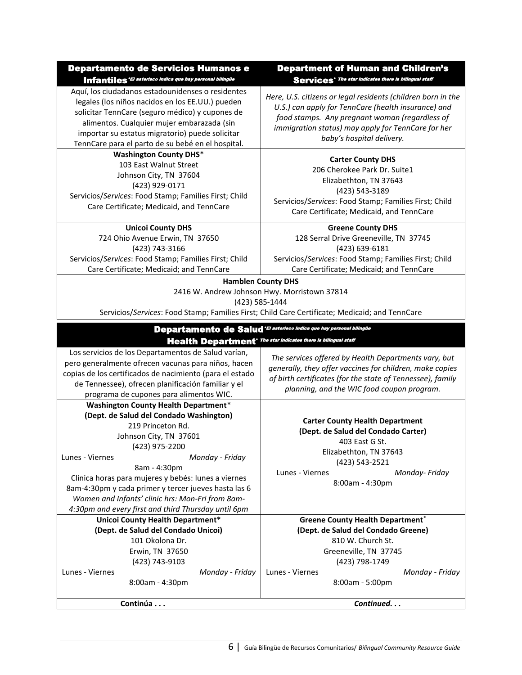| Departamento de Servicios Humanos e |                                                           |  |  |
|-------------------------------------|-----------------------------------------------------------|--|--|
|                                     | Infantiles 'El asterisco indica que hay personal bilingüe |  |  |

Aquí, los ciudadanos estadounidenses o residentes legales (los niños nacidos en los EE.UU.) pueden solicitar TennCare (seguro médico) y cupones de alimentos. Cualquier mujer embarazada (sin importar su estatus migratorio) puede solicitar TennCare para el parto de su bebé en el hospital.

**Washington County DHS**\* 103 East Walnut Street Johnson City, TN 37604 (423) 929-0171 Servicios/*Services*: Food Stamp; Families First; Child Care Certificate; Medicaid, and TennCare

#### **Unicoi County DHS**

724 Ohio Avenue Erwin, TN 37650 (423) 743-3166 Servicios/*Services*: Food Stamp; Families First; Child Care Certificate; Medicaid; and TennCare

# Department of Human and Children's Services<sup>\*</sup> The star indicates there is bilingual staff

*Here, U.S. citizens or legal residents (children born in the U.S.) can apply for TennCare (health insurance) and food stamps. Any pregnant woman (regardless of immigration status) may apply for TennCare for her baby's hospital delivery.*

### **Carter County DHS**

206 Cherokee Park Dr. Suite1 Elizabethton, TN 37643 (423) 543-3189 Servicios/*Services*: Food Stamp; Families First; Child Care Certificate; Medicaid, and TennCare

**Greene County DHS** 128 Serral Drive Greeneville, TN 37745 (423) 639-6181 Servicios/*Services*: Food Stamp; Families First; Child Care Certificate; Medicaid; and TennCare

#### **Hamblen County DHS**

#### 2416 W. Andrew Johnson Hwy. Morristown 37814

(423) 585-1444

Servicios/*Services*: Food Stamp; Families First; Child Care Certificate; Medicaid; and TennCare

| Departamento de Salud'El asterisco indica que hay personal bilingüe        |
|----------------------------------------------------------------------------|
| Health Department <sup>•</sup> The star Indicates there is bilingual staff |

Los servicios de los Departamentos de Salud varían, pero generalmente ofrecen vacunas para niños, hacen copias de los certificados de nacimiento (para el estado de Tennessee), ofrecen planificación familiar y el programa de cupones para alimentos WIC.

> **Washington County Health Department**\* **(Dept. de Salud del Condado Washington)** 219 Princeton Rd. Johnson City, TN 37601

(423) 975-2200 Lunes - Viernes *Monday - Friday*

8am - 4:30pm Clínica horas para mujeres y bebés: lunes a viernes *Women and Infants' clinic hrs: Mon-Fri from 8am-4:30pm and every first and third Thursday until 6pm*

*The services offered by Health Departments vary, but generally, they offer vaccines for children, make copies of birth certificates (for the state of Tennessee), family planning, and the WIC food coupon program.*

**Carter County Health Department (Dept. de Salud del Condado Carter)** 403 East G St. Elizabethton, TN 37643 (423) 543-2521 Lunes - Viernes *Monday- Friday* 8:00am - 4:30pm

8am-4:30pm y cada primer y tercer jueves hasta las 6

**Unicoi County Health Department\* (Dept. de Salud del Condado Unicoi)** 101 Okolona Dr. Erwin, TN 37650 (423) 743-9103 Lunes - Viernes *Monday - Friday* 8:00am - 4:30pm Lunes - Viernes *Monday - Friday*

**Greene County Health Department**\* **(Dept. de Salud del Condado Greene)**  810 W. Church St. Greeneville, TN 37745 (423) 798-1749

8:00am - 5:00pm

**Continúa . . .** *Continued. . .*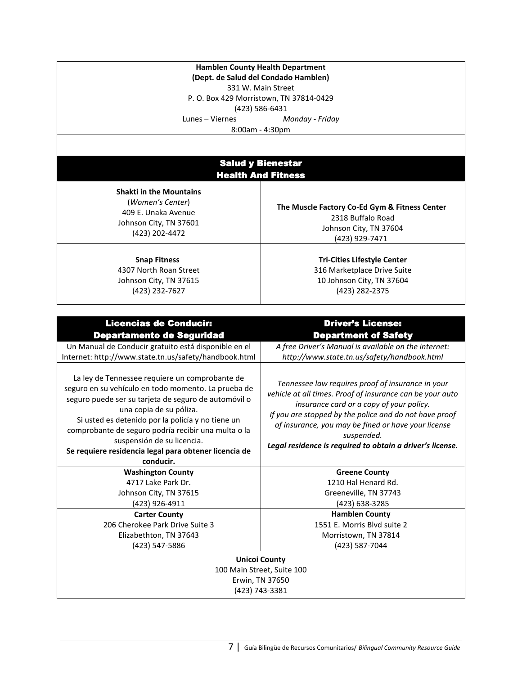**Hamblen County Health Department (Dept. de Salud del Condado Hamblen)**  [331 W. Main S](http://www.mapquest.com/maps/map.adp?address=331%20West%20Main%20St%2e&city=Morristown&state=TN&zoom=10&style=2)treet P. O. Box 429 Morristown, TN 37814-0429 (423) 586-6431 Lunes – Viernes *Monday - Friday*  8:00am - 4:30pm

# Salud y Bienestar Health And Fitness

**Shakti in the Mountains** (*Women's Center*) 409 E. Unaka Avenue Johnson City, TN 37601 (423) 202-4472

**[Snap Fitness](http://maps.google.com/maps/place?cid=10785440878251799156&q=fitness+centers+in+johnson+city+tn&hl=en&gl=us&ved=0CF4Q-gswAA&sa=X&ei=8kFiT-WECoSozATv7-jqBQ)** 4307 North Roan Street Johnson City, TN 37615 (423) 232-7627

**[The Muscle Factory Co-Ed Gym & Fitness Center](http://maps.google.com/maps/place?cid=3642130400595427014&q=fitness+centers+in+johnson+city+tn&hl=en&gl=us&ved=0CGgQ-gswAQ&sa=X&ei=t0JiT_anFMqv8gaB2e2xBA)** 2318 Buffalo Road Johnson City, TN 37604 (423) 929-7471

> **Tri-Cities Lifestyle Center**  316 Marketplace Drive Suite 10 Johnson City, TN 37604 (423) 282-2375

| <b>Driver's License:</b>                                                                                                                                                                                                                                                                                                                               |
|--------------------------------------------------------------------------------------------------------------------------------------------------------------------------------------------------------------------------------------------------------------------------------------------------------------------------------------------------------|
| <b>Department of Safety</b>                                                                                                                                                                                                                                                                                                                            |
| A free Driver's Manual is available on the internet:                                                                                                                                                                                                                                                                                                   |
| http://www.state.tn.us/safety/handbook.html                                                                                                                                                                                                                                                                                                            |
| Tennessee law requires proof of insurance in your<br>vehicle at all times. Proof of insurance can be your auto<br>insurance card or a copy of your policy.<br>If you are stopped by the police and do not have proof<br>of insurance, you may be fined or have your license<br>suspended.<br>Legal residence is required to obtain a driver's license. |
| <b>Greene County</b>                                                                                                                                                                                                                                                                                                                                   |
| 1210 Hal Henard Rd.                                                                                                                                                                                                                                                                                                                                    |
| Greeneville, TN 37743                                                                                                                                                                                                                                                                                                                                  |
| (423) 638-3285                                                                                                                                                                                                                                                                                                                                         |
| <b>Hamblen County</b>                                                                                                                                                                                                                                                                                                                                  |
| 1551 E. Morris Blvd suite 2                                                                                                                                                                                                                                                                                                                            |
| Morristown, TN 37814                                                                                                                                                                                                                                                                                                                                   |
| (423) 587-7044                                                                                                                                                                                                                                                                                                                                         |
| <b>Unicoi County</b><br>100 Main Street, Suite 100<br>Erwin, TN 37650<br>(423) 743-3381                                                                                                                                                                                                                                                                |
|                                                                                                                                                                                                                                                                                                                                                        |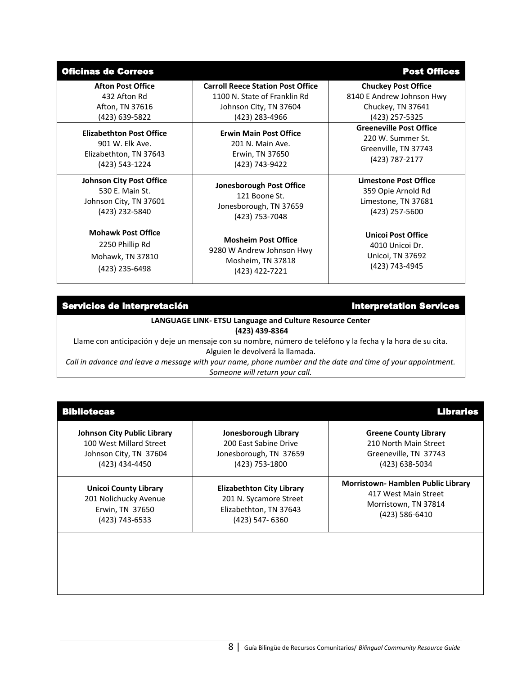| <b>Oficinas de Correos</b>      |                                          | <b>Post Offices</b>            |
|---------------------------------|------------------------------------------|--------------------------------|
| <b>Afton Post Office</b>        | <b>Carroll Reece Station Post Office</b> | <b>Chuckey Post Office</b>     |
| 432 Afton Rd                    | 1100 N. State of Franklin Rd             | 8140 E Andrew Johnson Hwy      |
| Afton, TN 37616                 | Johnson City, TN 37604                   | Chuckey, TN 37641              |
| (423) 639-5822                  | (423) 283-4966                           | (423) 257-5325                 |
| <b>Elizabethton Post Office</b> | <b>Erwin Main Post Office</b>            | <b>Greeneville Post Office</b> |
| 901 W. Elk Ave.                 | 201 N. Main Ave.                         | 220 W. Summer St.              |
| Elizabethton, TN 37643          | Erwin, TN 37650                          | Greenville, TN 37743           |
| (423) 543-1224                  | (423) 743-9422                           | (423) 787-2177                 |
| <b>Johnson City Post Office</b> | <b>Jonesborough Post Office</b>          | <b>Limestone Post Office</b>   |
| 530 E. Main St.                 | 121 Boone St.                            | 359 Opie Arnold Rd             |
| Johnson City, TN 37601          | Jonesborough, TN 37659                   | Limestone, TN 37681            |
| (423) 232-5840                  | (423) 753-7048                           | (423) 257-5600                 |
| <b>Mohawk Post Office</b>       | <b>Mosheim Post Office</b>               | <b>Unicol Post Office</b>      |
| 2250 Phillip Rd                 | 9280 W Andrew Johnson Hwy                | 4010 Unicoi Dr.                |
| Mohawk, TN 37810                | Mosheim, TN 37818                        | Unicol, TN 37692               |
| (423) 235-6498                  | (423) 422-7221                           | (423) 743-4945                 |

# Servicios de interpretación interpretation Services

**LANGUAGE LINK- ETSU Language and Culture Resource Center (423) 439-8364**

Llame con anticipación y deje un mensaje con su nombre, número de teléfono y la fecha y la hora de su cita. Alguien le devolverá la llamada.

*Call in advance and leave a message with your name, phone number and the date and time of your appointment. Someone will return your call.*

| <b>Bibliotecas</b>                 |                                  | <b>Libraries</b>                         |
|------------------------------------|----------------------------------|------------------------------------------|
| <b>Johnson City Public Library</b> | Jonesborough Library             | <b>Greene County Library</b>             |
| 100 West Millard Street            | 200 East Sabine Drive            | 210 North Main Street                    |
| Johnson City, TN 37604             | Jonesborough, TN 37659           | Greeneville, TN 37743                    |
| (423) 434-4450                     | (423) 753-1800                   | (423) 638-5034                           |
| <b>Unicol County Library</b>       | <b>Elizabethton City Library</b> | <b>Morristown-Hamblen Public Library</b> |
| 201 Nolichucky Avenue              | 201 N. Sycamore Street           | 417 West Main Street                     |
| Erwin, TN 37650                    | Elizabethton, TN 37643           | Morristown, TN 37814                     |
| (423) 743-6533                     | (423) 547-6360                   | (423) 586-6410                           |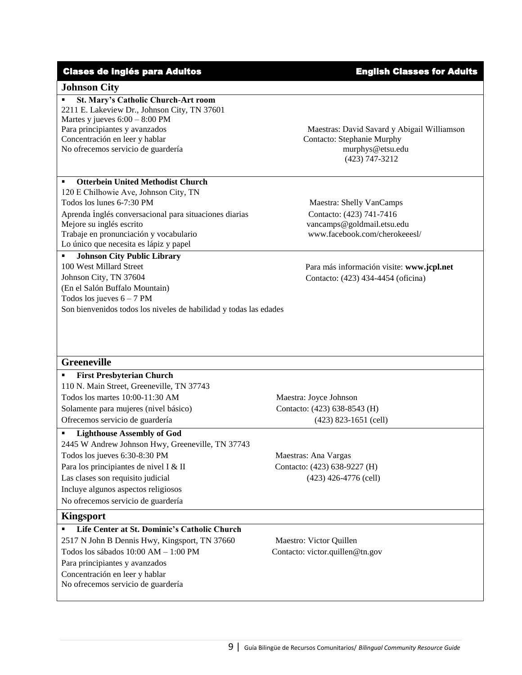# Clases de inglés para Adultos **English Classes for Adults**

#### **Johnson City**

 **St. Mary's Catholic Church-Art room** 2211 E. Lakeview Dr., Johnson City, TN 37601 Martes y jueves 6:00 – 8:00 PM Para principiantes y avanzados Concentración en leer y hablar No ofrecemos servicio de guardería murphys@etsu.edu

## **Otterbein United Methodist Church**

120 E Chilhowie Ave, Johnson City, TN Todos los lunes 6-7:30 PM Maestra: Shelly VanCamps Aprenda inglés conversacional para situaciones diarias Contacto: (423) 741-7416 Mejore su inglés escrito vancamps@goldmail.etsu.edu Trabaje en pronunciación y vocabulario www.facebook.com/cherokeeesl/ Lo único que necesita es lápiz y papel

 **Johnson City Public Library** 100 West Millard Street Johnson City, TN 37604 (En el Salón Buffalo Mountain) Todos los jueves  $6 - 7$  PM Son bienvenidos todos los niveles de habilidad y todas las edades

Maestras: David Savard y Abigail Williamson Contacto: Stephanie Murphy (423) 747-3212

Para más información visite: **www.jcpl.net** Contacto: (423) 434-4454 (oficina)

#### **Greeneville**

 **First Presbyterian Church** 110 N. Main Street, Greeneville, TN 37743 Todos los martes 10:00-11:30 AM Maestra: Joyce Johnson Solamente para mujeres (nivel básico) Contacto: (423) 638-8543 (H) Ofrecemos servicio de guardería (423) 823-1651 (cell)

# **Lighthouse Assembly of God**

2445 W Andrew Johnson Hwy, Greeneville, TN 37743 Todos los jueves 6:30-8:30 PM Maestras: Ana Vargas Para los principiantes de nivel I & II Contacto: (423) 638-9227 (H) Las clases son requisito judicial (423) 426-4776 (cell) Incluye algunos aspectos religiosos No ofrecemos servicio de guardería

# **Kingsport**

| Life Center at St. Dominic's Catholic Church  |
|-----------------------------------------------|
| 2517 N John B Dennis Hwy, Kingsport, TN 37660 |
| Todos los sábados $10:00 AM - 1:00 PM$        |
| Para principiantes y avanzados                |
| Concentración en leer y hablar                |
| No ofrecemos servicio de guardería            |
|                                               |

Maestro: Victor Quillen Contacto: victor.quillen@tn.gov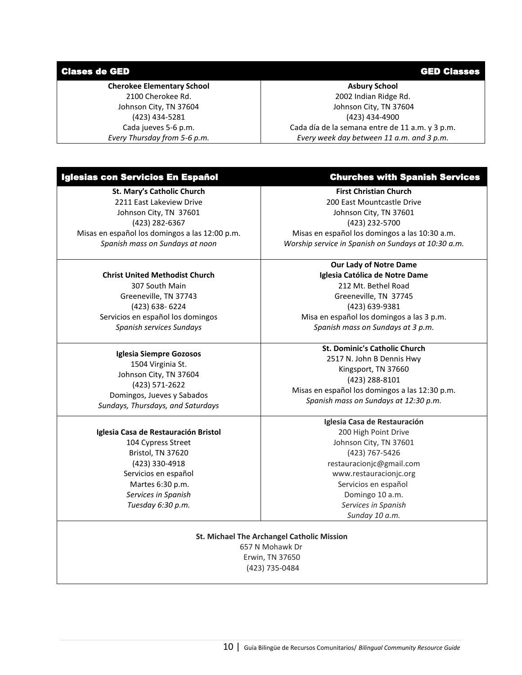### Clases de GED GED Classes

### **Cherokee Elementary School**

2100 Cherokee Rd. Johnson City, TN 37604 (423) 434-5281 Cada jueves 5-6 p.m. *Every Thursday from 5-6 p.m.*

# **Asbury School**

2002 Indian Ridge Rd. Johnson City, TN 37604 (423) 434-4900 Cada día de la semana entre de 11 a.m. y 3 p.m. *Every week day between 11 a.m. and 3 p.m.*

#### Iglesias con Servicios En Español Churches with Spanish Services

**St. Mary's Catholic Church** 2211 East Lakeview Drive Johnson City, TN 37601 (423) 282-6367 Misas en español los domingos a las 12:00 p.m. *Spanish mass on Sundays at noon*

# **Christ United Methodist Church**

307 South Main Greeneville, TN 37743 (423) 638- 6224 Servicios en español los domingos *Spanish services Sundays*

#### **Iglesia Siempre Gozosos** 1504 Virginia St.

Johnson City, TN 37604 (423) 571-2622 Domingos, Jueves y Sabados *Sundays, Thursdays, and Saturdays* 

#### **Iglesia Casa de Restauración Bristol**

104 Cypress Street Bristol, TN 37620 (423) 330-4918 Servicios en español Martes 6:30 p.m. *Services in Spanish Tuesday 6:30 p.m.*

**First Christian Church** 200 East Mountcastle Drive Johnson City, TN 37601 (423) 232-5700 Misas en español los domingos a las 10:30 a.m. *Worship service in Spanish on Sundays at 10:30 a.m.*

#### **Our Lady of Notre Dame**

**Iglesia Católica de Notre Dame** 212 Mt. Bethel Road Greeneville, TN 37745 (423) 639-9381 Misa en español los domingos a las 3 p.m. *Spanish mass on Sundays at 3 p.m.*

**St. Dominic's Catholic Church** 2517 N. John B Dennis Hwy Kingsport, TN 37660 (423) 288-8101 Misas en español los domingos a las 12:30 p.m. *Spanish mass on Sundays at 12:30 p.m.*

> **Iglesia Casa de Restauración** 200 High Point Drive Johnson City, TN 37601 (423) 767-5426 restauracionjc@gmail.com www.restauracionjc.org Servicios en español Domingo 10 a.m. *Services in Spanish Sunday 10 a.m.*

**St. Michael The Archangel Catholic Mission** 657 N Mohawk Dr Erwin, TN 37650 (423) 735-0484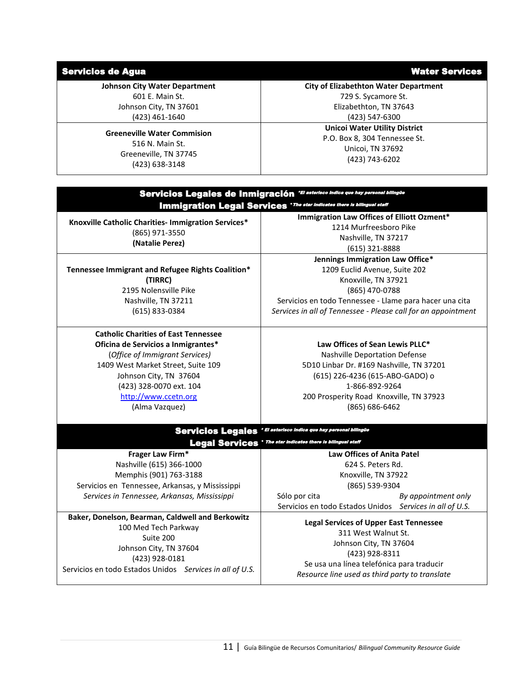# Servicios de Agua **Water Services** Services et al. 2009 et al. 2009 et al. 2009 et al. 2009 et al. 2009 et al. 201

**Johnson City Water Department**  601 E. Main St.

> Johnson City, TN 37601 (423) 461-1640

**Greeneville Water Commision** 516 N. Main St. Greeneville, TN 37745 (423) 638-3148

**City of Elizabethton Water Department**  729 S. Sycamore St. Elizabethton, TN 37643 (423) 547-6300

> **Unicoi Water Utility District** P.O. Box 8, 304 Tennessee St. Unicoi, TN 37692 (423) 743-6202

| Servicios Legales de Inmigración "El astorisco indica que hay personal bilingüe |                                                               |  |
|---------------------------------------------------------------------------------|---------------------------------------------------------------|--|
| Immigration Legal Services 'The star Indicates there is bilingual staff         |                                                               |  |
| Knoxville Catholic Charities- Immigration Services*                             | Immigration Law Offices of Elliott Ozment*                    |  |
| (865) 971-3550<br>(Natalie Perez)                                               | 1214 Murfreesboro Pike                                        |  |
|                                                                                 | Nashville, TN 37217                                           |  |
|                                                                                 | $(615)$ 321-8888                                              |  |
|                                                                                 | Jennings Immigration Law Office*                              |  |
| Tennessee Immigrant and Refugee Rights Coalition*                               | 1209 Euclid Avenue, Suite 202                                 |  |
| (TIRRC)                                                                         | Knoxville, TN 37921                                           |  |
| 2195 Nolensville Pike                                                           | (865) 470-0788                                                |  |
| Nashville, TN 37211                                                             | Servicios en todo Tennessee - Llame para hacer una cita       |  |
| (615) 833-0384                                                                  | Services in all of Tennessee - Please call for an appointment |  |
| <b>Catholic Charities of East Tennessee</b>                                     |                                                               |  |
| Oficina de Servicios a Inmigrantes*                                             | Law Offices of Sean Lewis PLLC*                               |  |
| (Office of Immigrant Services)                                                  | Nashville Deportation Defense                                 |  |
| 1409 West Market Street, Suite 109                                              | 5D10 Linbar Dr. #169 Nashville, TN 37201                      |  |
| Johnson City, TN 37604                                                          | (615) 226-4236 (615-ABO-GADO) o                               |  |
| (423) 328-0070 ext. 104                                                         | 1-866-892-9264                                                |  |
| http://www.ccetn.org                                                            | 200 Prosperity Road Knoxville, TN 37923                       |  |
| (Alma Vazquez)                                                                  | $(865) 686 - 6462$                                            |  |
| Servicios Legales 'El asterisco indica que hay personal bilingüe                |                                                               |  |
| <b>Legal Services</b> ' The star Indicates there is bilingual staff             |                                                               |  |
| Frager Law Firm*                                                                | <b>Law Offices of Anita Patel</b>                             |  |
| Nashville (615) 366-1000                                                        | 624 S. Peters Rd.                                             |  |
| Memphis (901) 763-3188                                                          | Knoxville, TN 37922                                           |  |
| Servicios en Tennessee, Arkansas, y Mississippi                                 | (865) 539-9304                                                |  |
| Services in Tennessee, Arkansas, Mississippi                                    | Sólo por cita<br>By appointment only                          |  |
|                                                                                 | Servicios en todo Estados Unidos Services in all of U.S.      |  |
| Baker, Donelson, Bearman, Caldwell and Berkowitz                                | <b>Legal Services of Upper East Tennessee</b>                 |  |
| 100 Med Tech Parkway                                                            | 311 West Walnut St.                                           |  |
| Suite 200                                                                       | Johnson City, TN 37604                                        |  |
| Johnson City, TN 37604                                                          | (423) 928-8311                                                |  |
| (423) 928-0181                                                                  | Se usa una línea telefónica para traducir                     |  |
| Servicios en todo Estados Unidos Services in all of U.S.                        | Resource line used as third party to translate                |  |
|                                                                                 |                                                               |  |